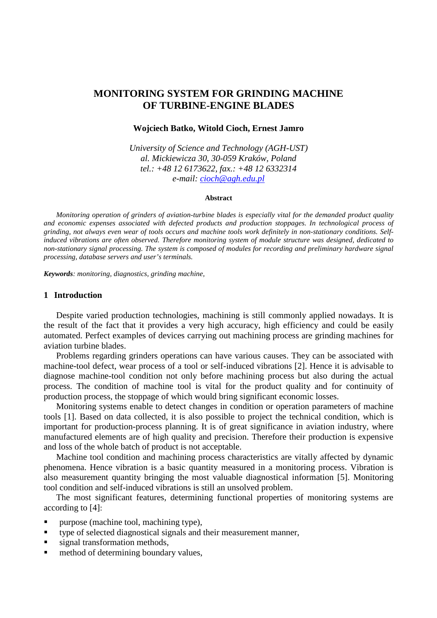# **MONITORING SYSTEM FOR GRINDING MACHINE OF TURBINE-ENGINE BLADES**

#### **Wojciech Batko, Witold Cioch, Ernest Jamro**

*University of Science and Technology (AGH-UST) al. Mickiewicza 30, 30-059 Kraków, Poland tel.: +48 12 6173622, fax.: +48 12 6332314 e-mail: cioch@agh.edu.pl*

#### **Abstract**

*Monitoring operation of grinders of aviation-turbine blades is especially vital for the demanded product quality and economic expenses associated with defected products and production stoppages. In technological process of grinding, not always even wear of tools occurs and machine tools work definitely in non-stationary conditions. Selfinduced vibrations are often observed. Therefore monitoring system of module structure was designed, dedicated to non-stationary signal processing. The system is composed of modules for recording and preliminary hardware signal processing, database servers and user's terminals.* 

*Keywords: monitoring, diagnostics, grinding machine,* 

### **1 Introduction**

Despite varied production technologies, machining is still commonly applied nowadays. It is the result of the fact that it provides a very high accuracy, high efficiency and could be easily automated. Perfect examples of devices carrying out machining process are grinding machines for aviation turbine blades.

Problems regarding grinders operations can have various causes. They can be associated with machine-tool defect, wear process of a tool or self-induced vibrations [2]. Hence it is advisable to diagnose machine-tool condition not only before machining process but also during the actual process. The condition of machine tool is vital for the product quality and for continuity of production process, the stoppage of which would bring significant economic losses.

Monitoring systems enable to detect changes in condition or operation parameters of machine tools [1]. Based on data collected, it is also possible to project the technical condition, which is important for production-process planning. It is of great significance in aviation industry, where manufactured elements are of high quality and precision. Therefore their production is expensive and loss of the whole batch of product is not acceptable.

Machine tool condition and machining process characteristics are vitally affected by dynamic phenomena. Hence vibration is a basic quantity measured in a monitoring process. Vibration is also measurement quantity bringing the most valuable diagnostical information [5]. Monitoring tool condition and self-induced vibrations is still an unsolved problem.

The most significant features, determining functional properties of monitoring systems are according to [4]:

- **Purpose (machine tool, machining type),**
- type of selected diagnostical signals and their measurement manner,
- signal transformation methods,
- **method of determining boundary values,**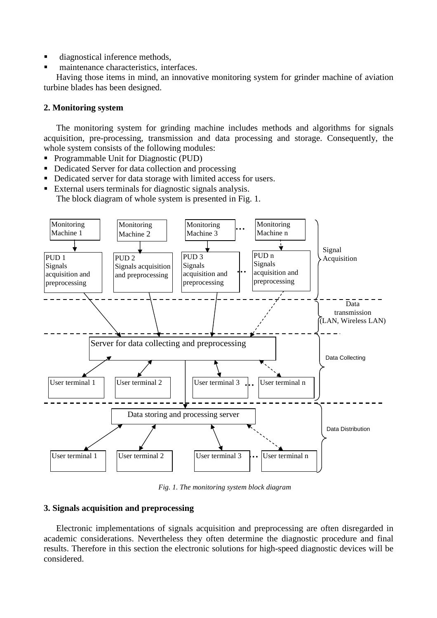- diagnostical inference methods,
- maintenance characteristics, interfaces.

Having those items in mind, an innovative monitoring system for grinder machine of aviation turbine blades has been designed.

## **2. Monitoring system**

The monitoring system for grinding machine includes methods and algorithms for signals acquisition, pre-processing, transmission and data processing and storage. Consequently, the whole system consists of the following modules:

- Programmable Unit for Diagnostic (PUD)
- Dedicated Server for data collection and processing
- Dedicated server for data storage with limited access for users.
- External users terminals for diagnostic signals analysis.

The block diagram of whole system is presented in Fig. 1.



*Fig. 1. The monitoring system block diagram* 

### **3. Signals acquisition and preprocessing**

Electronic implementations of signals acquisition and preprocessing are often disregarded in academic considerations. Nevertheless they often determine the diagnostic procedure and final results. Therefore in this section the electronic solutions for high-speed diagnostic devices will be considered.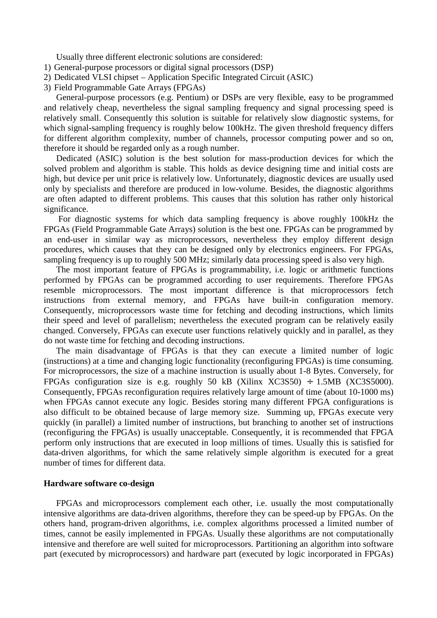Usually three different electronic solutions are considered:

- 1) General-purpose processors or digital signal processors (DSP)
- 2) Dedicated VLSI chipset Application Specific Integrated Circuit (ASIC)
- 3) Field Programmable Gate Arrays (FPGAs)

General-purpose processors (e.g. Pentium) or DSPs are very flexible, easy to be programmed and relatively cheap, nevertheless the signal sampling frequency and signal processing speed is relatively small. Consequently this solution is suitable for relatively slow diagnostic systems, for which signal-sampling frequency is roughly below 100kHz. The given threshold frequency differs for different algorithm complexity, number of channels, processor computing power and so on, therefore it should be regarded only as a rough number.

Dedicated (ASIC) solution is the best solution for mass-production devices for which the solved problem and algorithm is stable. This holds as device designing time and initial costs are high, but device per unit price is relatively low. Unfortunately, diagnostic devices are usually used only by specialists and therefore are produced in low-volume. Besides, the diagnostic algorithms are often adapted to different problems. This causes that this solution has rather only historical significance.

 For diagnostic systems for which data sampling frequency is above roughly 100kHz the FPGAs (Field Programmable Gate Arrays) solution is the best one. FPGAs can be programmed by an end-user in similar way as microprocessors, nevertheless they employ different design procedures, which causes that they can be designed only by electronics engineers. For FPGAs, sampling frequency is up to roughly 500 MHz; similarly data processing speed is also very high.

The most important feature of FPGAs is programmability, i.e. logic or arithmetic functions performed by FPGAs can be programmed according to user requirements. Therefore FPGAs resemble microprocessors. The most important difference is that microprocessors fetch instructions from external memory, and FPGAs have built-in configuration memory. Consequently, microprocessors waste time for fetching and decoding instructions, which limits their speed and level of parallelism; nevertheless the executed program can be relatively easily changed. Conversely, FPGAs can execute user functions relatively quickly and in parallel, as they do not waste time for fetching and decoding instructions.

The main disadvantage of FPGAs is that they can execute a limited number of logic (instructions) at a time and changing logic functionality (reconfiguring FPGAs) is time consuming. For microprocessors, the size of a machine instruction is usually about 1-8 Bytes. Conversely, for FPGAs configuration size is e.g. roughly 50 kB (Xilinx  $XC3S50$ ) ÷ 1.5MB (XC3S5000). Consequently, FPGAs reconfiguration requires relatively large amount of time (about 10-1000 ms) when FPGAs cannot execute any logic. Besides storing many different FPGA configurations is also difficult to be obtained because of large memory size. Summing up, FPGAs execute very quickly (in parallel) a limited number of instructions, but branching to another set of instructions (reconfiguring the FPGAs) is usually unacceptable. Consequently, it is recommended that FPGA perform only instructions that are executed in loop millions of times. Usually this is satisfied for data-driven algorithms, for which the same relatively simple algorithm is executed for a great number of times for different data.

#### **Hardware software co-design**

FPGAs and microprocessors complement each other, i.e. usually the most computationally intensive algorithms are data-driven algorithms, therefore they can be speed-up by FPGAs. On the others hand, program-driven algorithms, i.e. complex algorithms processed a limited number of times, cannot be easily implemented in FPGAs. Usually these algorithms are not computationally intensive and therefore are well suited for microprocessors. Partitioning an algorithm into software part (executed by microprocessors) and hardware part (executed by logic incorporated in FPGAs)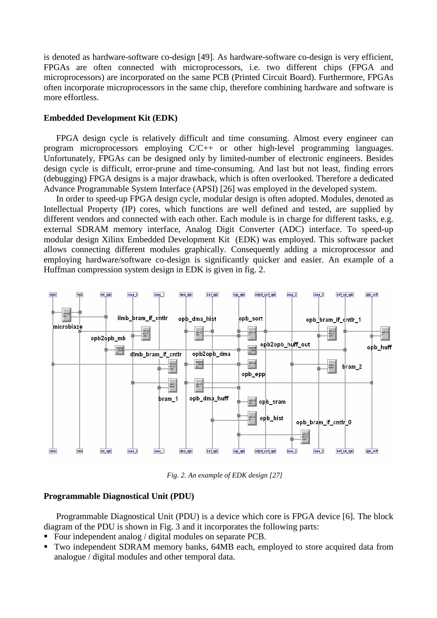is denoted as hardware-software co-design [49]. As hardware-software co-design is very efficient, FPGAs are often connected with microprocessors, i.e. two different chips (FPGA and microprocessors) are incorporated on the same PCB (Printed Circuit Board). Furthermore, FPGAs often incorporate microprocessors in the same chip, therefore combining hardware and software is more effortless.

## **Embedded Development Kit (EDK)**

FPGA design cycle is relatively difficult and time consuming. Almost every engineer can program microprocessors employing C/C++ or other high-level programming languages. Unfortunately, FPGAs can be designed only by limited-number of electronic engineers. Besides design cycle is difficult, error-prune and time-consuming. And last but not least, finding errors (debugging) FPGA designs is a major drawback, which is often overlooked. Therefore a dedicated Advance Programmable System Interface (APSI) [26] was employed in the developed system.

In order to speed-up FPGA design cycle, modular design is often adopted. Modules, denoted as Intellectual Property (IP) cores, which functions are well defined and tested, are supplied by different vendors and connected with each other. Each module is in charge for different tasks, e.g. external SDRAM memory interface, Analog Digit Converter (ADC) interface. To speed-up modular design Xilinx Embedded Development Kit (EDK) was employed. This software packet allows connecting different modules graphically. Consequently adding a microprocessor and employing hardware/software co-design is significantly quicker and easier. An example of a Huffman compression system design in EDK is given in fig. 2.



*Fig. 2. An example of EDK design [27]* 

### **Programmable Diagnostical Unit (PDU)**

Programmable Diagnostical Unit (PDU) is a device which core is FPGA device [6]. The block diagram of the PDU is shown in Fig. 3 and it incorporates the following parts:

- Four independent analog / digital modules on separate PCB.
- Two independent SDRAM memory banks, 64MB each, employed to store acquired data from analogue / digital modules and other temporal data.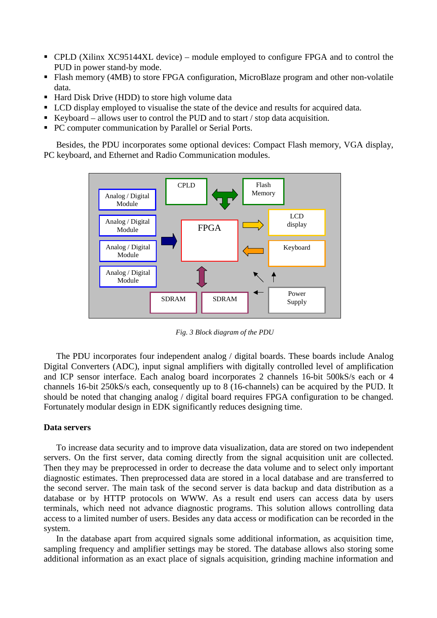- CPLD (Xilinx XC95144XL device) module employed to configure FPGA and to control the PUD in power stand-by mode.
- Flash memory (4MB) to store FPGA configuration, MicroBlaze program and other non-volatile data.
- Hard Disk Drive (HDD) to store high volume data
- **LCD** display employed to visualise the state of the device and results for acquired data.
- Exercise Keyboard allows user to control the PUD and to start  $\ell$  stop data acquisition.
- PC computer communication by Parallel or Serial Ports.

Besides, the PDU incorporates some optional devices: Compact Flash memory, VGA display, PC keyboard, and Ethernet and Radio Communication modules.



*Fig. 3 Block diagram of the PDU* 

The PDU incorporates four independent analog / digital boards. These boards include Analog Digital Converters (ADC), input signal amplifiers with digitally controlled level of amplification and ICP sensor interface. Each analog board incorporates 2 channels 16-bit 500kS/s each or 4 channels 16-bit 250kS/s each, consequently up to 8 (16-channels) can be acquired by the PUD. It should be noted that changing analog / digital board requires FPGA configuration to be changed. Fortunately modular design in EDK significantly reduces designing time.

### **Data servers**

To increase data security and to improve data visualization, data are stored on two independent servers. On the first server, data coming directly from the signal acquisition unit are collected. Then they may be preprocessed in order to decrease the data volume and to select only important diagnostic estimates. Then preprocessed data are stored in a local database and are transferred to the second server. The main task of the second server is data backup and data distribution as a database or by HTTP protocols on WWW. As a result end users can access data by users terminals, which need not advance diagnostic programs. This solution allows controlling data access to a limited number of users. Besides any data access or modification can be recorded in the system.

In the database apart from acquired signals some additional information, as acquisition time, sampling frequency and amplifier settings may be stored. The database allows also storing some additional information as an exact place of signals acquisition, grinding machine information and